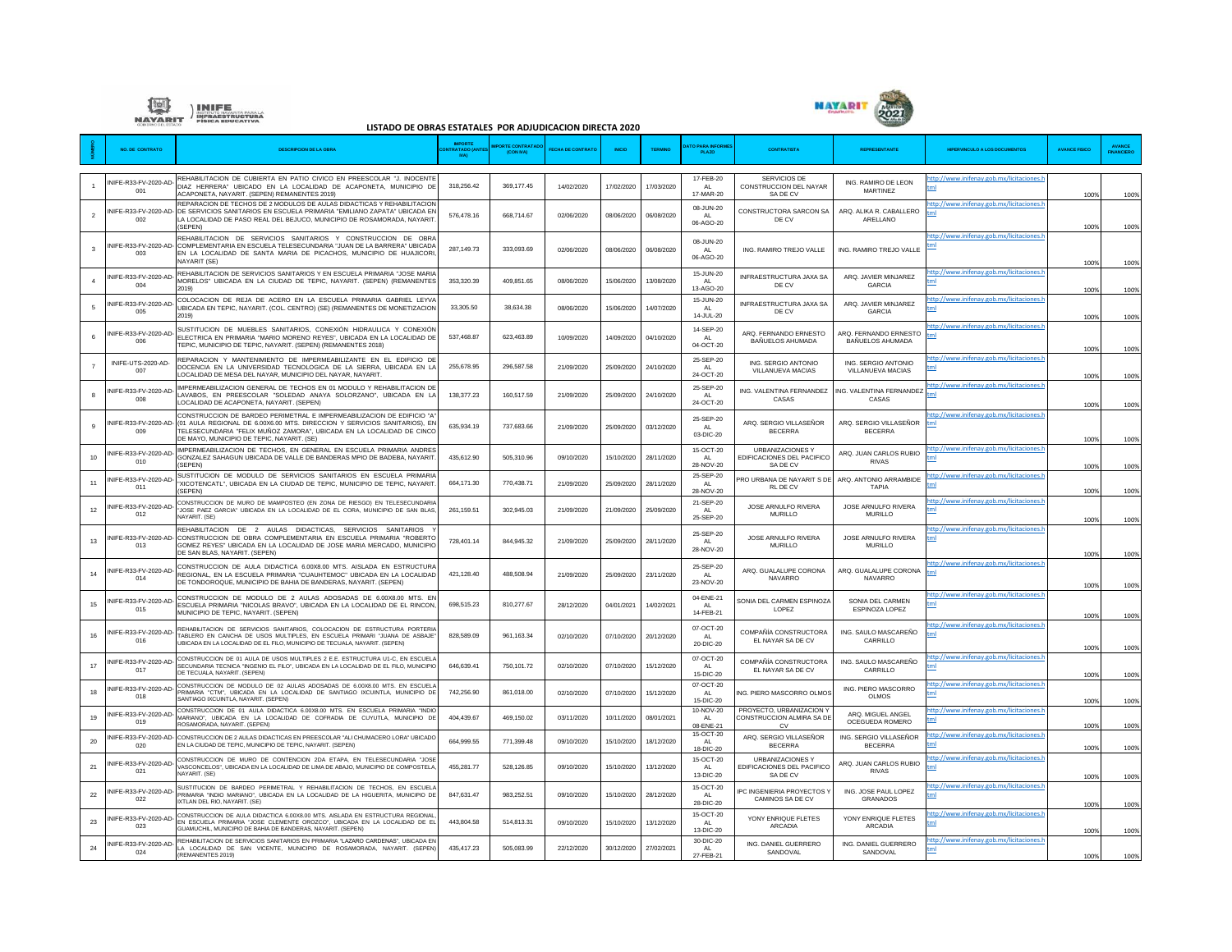



## **LISTADO DE OBRAS ESTATALES POR ADJUDICACION DIRECTA 2020**

|                          | <b>NO. DE CONTRATO</b>       | <b>DESCRIPCION DE LA OBRA</b>                                                                                                                                                                                                                                                                  | <b>MPORTE</b><br><b>ATADO</b> (A<br>N(A) | ORTE CONTRATAD<br>(CON NA) | <b>FECHA DE CONTRAT</b> | <b>INICIO</b> | <b>TERMINO</b> | <b>ATO PARA INFORM</b><br>PLAZO         | <b>CONTRATISTA</b>                                                 | REPRESENTANTE                             | <b>HPERVINCULO A LOS DOCUMENTOS</b>        | <b>AVANCE FISICO</b> |      |
|--------------------------|------------------------------|------------------------------------------------------------------------------------------------------------------------------------------------------------------------------------------------------------------------------------------------------------------------------------------------|------------------------------------------|----------------------------|-------------------------|---------------|----------------|-----------------------------------------|--------------------------------------------------------------------|-------------------------------------------|--------------------------------------------|----------------------|------|
|                          | INIFF-R33-FV-2020-AD-<br>001 | REHABILITACION DE CUBIERTA EN PATIO CIVICO EN PREESCOLAR "J. INOCENTE<br>DIAZ HERRERA" UBICADO EN LA LOCALIDAD DE ACAPONETA, MUNICIPIO DE<br>ACAPONETA, NAYARIT, (SEPEN) REMANENTES 2019)                                                                                                      | 318,256.42                               | 369, 177.45                | 14/02/2020              | 17/02/2020    | 17/03/2020     | 17-FEB-20<br>AL<br>17-MAR-20            | SERVICIOS DE<br>CONSTRUCCION DEL NAYAR<br>SA DE CV                 | ING, RAMIRO DE LEON<br>MARTINEZ           | ttp://www.inifenav.gob.mx/licitaciones.    | 100%                 | 100% |
| $\overline{\phantom{a}}$ | 002                          | REPARACION DE TECHOS DE 2 MODULOS DE AULAS DIDACTICAS Y REHABILITACION<br>INIFE-R33-FV-2020-AD- DE SERVICIOS SANITARIOS EN ESCUELA PRIMARIA "EMILIANO ZAPATA" UBICADA EN<br>LA LOCALIDAD DE PASO REAL DEL BEJUCO, MUNICIPIO DE ROSAMORADA, NAYARIT<br>(SEPEN)                                  | 576,478.16                               | 668,714.67                 | 02/06/2020              | 08/06/2020    | 06/08/2020     | 08-JUN-20<br>AL<br>06-AGO-20            | CONSTRUCTORA SARCON SA<br>DE CV                                    | ARQ. ALIKA R. CABALLERO<br>ARELLANO       | ttp://www.inifenay.gob.mx/licitaciones.    | 100%                 | 1009 |
| $\overline{\mathbf{3}}$  | 003                          | REHABILITACION DE SERVICIOS SANITARIOS Y CONSTRUCCION DE OBRA<br>INIEE-R33-EV-2020-AD- COMPLEMENTARIA EN ESCUELA TELESECUNDARIA "JUAN DE LA BARRERA" UBICADA<br>EN LA LOCALIDAD DE SANTA MARIA DE PICACHOS, MUNICIPIO DE HUAJICORI<br>NAYARIT (SE)                                             | 287.149.73                               | 333,093.69                 | 02/06/2020              | 08/06/2020    | 06/08/2020     | 08-JUN-20<br>AI<br>06-AGO-20            | ING. RAMIRO TREJO VALLE                                            | ING. RAMIRO TREJO VALLE                   | ttp://www.inifenav.gob.mx/licitaciones.h   | 100%                 | 100% |
|                          | NIFE-R33-FV-2020-AD-<br>004  | REHABILITACION DE SERVICIOS SANITARIOS Y EN ESCUELA PRIMARIA "JOSE MARIA<br>MORELOS" UBICADA EN LA CIUDAD DE TEPIC, NAYARIT. (SEPEN) (REMANENTES<br>2019)                                                                                                                                      | 353,320,39                               | 409.851.65                 | 08/06/2020              | 15/06/2020    | 13/08/2020     | 15-JUN-20<br>AL<br>13-AGO-20            | INFRAESTRUCTURA JAXA SA<br>DE CV                                   | ARQ. JAVIER MINJAREZ<br><b>GARCIA</b>     | ttp://www.inifenay.gob.mx/licitaciones.l   | 100%                 | 100% |
|                          | NIFF-R33-FV-2020-AD-<br>005  | COLOCACION DE REJA DE ACERO EN LA ESCUELA PRIMARIA GABRIEL LEYVA<br>UBICADA EN TEPIC, NAYARIT. (COL. CENTRO) (SE) (REMANENTES DE MONETIZACION<br>2019)                                                                                                                                         | 33,305.50                                | 38,634.38                  | 08/06/2020              | 15/06/2020    | 14/07/2020     | 15-JUN-20<br><b>AL</b><br>14-JUL-20     | INFRAESTRUCTURA JAXA SA<br>DE CV                                   | ARQ. JAVIER MINJAREZ<br><b>GARCIA</b>     | ttp://www.inifenay.gob.mx/licitaciones.l   | 100%                 | 100% |
| $6 \,$                   | NIFE-R33-FV-2020-AD-<br>006  | SUSTITUCION DE MUEBLES SANITARIOS, CONEXIÓN HIDRAULICA Y CONEXIÓN<br>ELECTRICA EN PRIMARIA "MARIO MORENO REYES". UBICADA EN LA LOCALIDAD DE<br>TEPIC, MUNICIPIO DE TEPIC, NAYARIT. (SEPEN) (REMANENTES 2018)                                                                                   | 537.468.87                               | 623.463.89                 | 10/09/2020              | 14/09/2020    | 04/10/2020     | 14-SEP-20<br>AI<br>04-OCT-20            | ARQ. FERNANDO ERNESTO<br>BAÑUELOS AHUMADA                          | ARQ. FERNANDO ERNESTO<br>BAÑUELOS AHUMADA | ttp://www.inifenay.gob.mx/licitaciones.h   | 100%                 | 100% |
|                          | INIFE-UTS-2020-AD-<br>007    | REPARACION Y MANTENIMIENTO DE IMPERMEABILIZANTE EN EL EDIFICIO DE<br>DOCENCIA EN LA UNIVERSIDAD TECNOLOGICA DE LA SIERRA, UBICADA EN LA<br>LOCALIDAD DE MESA DEL NAYAR, MUNICIPIO DEL NAYAR, NAYARIT                                                                                           | 255,678,95                               | 296,587.58                 | 21/09/2020              | 25/09/2020    | 24/10/2020     | 25-SEP-20<br>AL.<br>24-OCT-20           | ING, SERGIO ANTONIC<br>VILLANUEVA MACIAS                           | ING. SERGIO ANTONIO<br>VILLANUEVA MACIAS  | ttp://www.inifenay.gob.mx/licitaciones.    | 100%                 | 100% |
| 8                        | NIFE-R33-FV-2020-AD<br>008   | IMPERMEABILIZACION GENERAL DE TECHOS EN 01 MODULO Y REHABILITACION DE<br>LAVABOS, EN PREESCOLAR "SOLEDAD ANAYA SOLORZANO", UBICADA EN LA<br>LOCALIDAD DE ACAPONETA, NAYARIT. (SEPEN)                                                                                                           | 138,377,23                               | 160,517.59                 | 21/09/2020              | 25/09/2020    | 24/10/2020     | 25-SEP-20<br>AI<br>24-OCT-20            | ING. VALENTINA FERNANDEZ<br>CASAS                                  | ING. VALENTINA FERNANDEZ<br>CASAS         | ttp://www.inifenav.gob.mx/licitaciones.    | 100%                 | 100% |
| $\mathbf{Q}$             | 009                          | CONSTRUCCION DE BARDEO PERIMETRAL E IMPERMEABILIZACION DE EDIFICIO *A<br>NIFE-R33-FV-2020-AD- (01 AULA REGIONAL DE 6.00X6.00 MTS. DIRECCION Y SERVICIOS SANITARIOS), EN<br>TELESECUNDARIA "FELIX MUÑOZ ZAMORA", UBICADA EN LA LOCALIDAD DE CINCO<br>DE MAYO, MUNICIPIO DE TEPIC, NAYARIT, (SE) | 635.934.19                               | 737.683.66                 | 21/09/2020              | 25/09/2020    | 03/12/2020     | 25-SEP-20<br>$\Delta I$<br>03-DIC-20    | ARQ. SERGIO VILLASEÑOR<br><b>BECERRA</b>                           | ARQ. SERGIO VILLASEÑOR<br><b>BECERRA</b>  | ttp://www.inifenav.gob.mx/licitaciones.h   | 100%                 | 100% |
| 10                       | INIFE-R33-FV-2020-AD-<br>010 | IMPERMEABILIZACION DE TECHOS. EN GENERAL EN ESCUELA PRIMARIA ANDRES<br>GONZALEZ SAHAGUN UBICADA DE VALLE DE BANDERAS MPIO DE BADEBA, NAYARIT<br>(SEPEN)                                                                                                                                        | 435,612.90                               | 505,310.96                 | 09/10/2020              | 15/10/2020    | 28/11/2020     | 15-OCT-20<br>AI<br>28-NOV-20            | <b>URBANIZACIONES \</b><br>EDIFICACIONES DEL PACIFICC<br>SA DE CV  | ARQ. JUAN CARLOS RUBIO<br><b>RIVAS</b>    | ttp://www.inifenay.gob.mx/licitaciones.h   | 100%                 | 100% |
| 11                       | NIFE-R33-FV-2020-AD-<br>011  | SUSTITUCION DE MODULO DE SERVICIOS SANITARIOS EN ESCUELA PRIMARIA<br>XICOTENCATL", UBICADA EN LA CIUDAD DE TEPIC, MUNICIPIO DE TEPIC, NAYARIT<br>(SEPEN)                                                                                                                                       | 664,171.30                               | 770,438.71                 | 21/09/2020              | 25/09/2020    | 28/11/2020     | 25-SEP-20<br><b>AL</b><br>28-NOV-20     | PRO URBANA DE NAYARIT S DE<br>RL DE CV                             | ARQ. ANTONIO ARRAMBIDE<br><b>TAPIA</b>    | ttp://www.inifenay.gob.mx/licitaciones.h   | 100%                 | 100% |
| 12                       | NIFF-R33-FV-2020-AD-<br>012  | CONSTRUCCION DE MURO DE MAMPOSTEO (EN ZONA DE RIESGO) EN TELESECUNDARIA<br>'JOSE PAEZ GARCIA" UBICADA EN LA LOCALIDAD DE EL CORA, MUNICIPIO DE SAN BLAS.<br>NAYARIT, (SE)                                                                                                                      | 261,159.51                               | 302,945.03                 | 21/09/2020              | 21/09/2020    | 25/09/2020     | 21-SEP-20<br>AI<br>25-SEP-20            | JOSE ARNULFO RIVERA<br><b>MURILLO</b>                              | JOSE ARNULFO RIVERA<br><b>MURILLO</b>     | ttp://www.inifenay.gob.mx/licitaciones.    | 100%                 | 100% |
| 13                       | 013                          | REHABILITACION DE 2 AULAS DIDACTICAS, SERVICIOS SANITARIOS<br>NIFE-R33-FV-2020-AD- CONSTRUCCION DE OBRA COMPLEMENTARIA EN ESCUELA PRIMARIA "ROBERTO<br>GOMEZ REYES" UBICADA EN LA LOCALIDAD DE JOSE MARIA MERCADO, MUNICIPIO<br>DE SAN BLAS, NAYARIT, (SEPEN)                                  | 728.401.14                               | 844.945.32                 | 21/09/2020              | 25/09/2020    | 28/11/2020     | 25-SEP-20<br>AL<br>28-NOV-20            | JOSE ARNULEO RIVERA<br><b>MURILLO</b>                              | JOSE ARNULEO RIVERA<br><b>MURILLO</b>     | ttp://www.inifenay.gob.mx/licitaciones.h   | 100%                 | 100% |
| 14                       | NIFE-R33-FV-2020-AD-<br>014  | CONSTRUCCION DE AULA DIDACTICA 6,00X8,00 MTS. AISLADA EN ESTRUCTURA<br>REGIONAL. EN LA ESCUELA PRIMARIA "CUAUHTEMOC" UBICADA EN LA LOCALIDAD<br>DE TONDOROQUE, MUNICIPIO DE BAHIA DE BANDERAS, NAYARIT. (SEPEN)                                                                                | 421.128.40                               | 488,508.94                 | 21/09/2020              | 25/09/2020    | 23/11/2020     | 25-SEP-20<br>AI<br>23-NOV-20            | ARQ. GUALALUPE CORONA<br>NAVARRO                                   | ARQ. GUALALUPE CORONA<br>NAVARRO          | ttp://www.inifenay.gob.mx/licitaciones.h   | 100%                 | 100% |
| 15                       | NIFE-R33-FV-2020-AD-<br>015  | CONSTRUCCION DE MODULO DE 2 AULAS ADOSADAS DE 6.00X8.00 MTS. EN<br>ESCUELA PRIMARIA "NICOLAS BRAVO", UBICADA EN LA LOCALIDAD DE EL RINCON,<br>MUNICIPIO DE TEPIC, NAYARIT, (SEPEN)                                                                                                             | 698,515.23                               | 810.277.67                 | 28/12/2020              | 04/01/2021    | 14/02/2021     | 04-ENE-21<br>$\mathsf{AL}$<br>14-FEB-21 | SONIA DEL CARMEN ESPINOZA<br>LOPEZ                                 | SONIA DEL CARMEN<br><b>ESPINOZA LOPEZ</b> | ttp://www.inifenav.gob.mx/licitaciones.    | 100%                 | 100% |
| 16                       | NIFF-R33-FV-2020-AD-<br>016  | REHABILITACION DE SERVICIOS SANITARIOS, COLOCACION DE ESTRUCTURA PORTERIA<br>TABLERO EN CANCHA DE USOS MULTIPLES, EN ESCUELA PRIMARI "JUANA DE ASBAJE<br>JBICADA EN LA LOCALIDAD DE EL FILO, MUNICIPIO DE TECUALA, NAYARIT, (SEPEN)                                                            | 828,589.09                               | 961.163.34                 | 02/10/2020              | 07/10/2020    | 20/12/2020     | 07-OCT-20<br><b>AL</b><br>20-DIC-20     | COMPAÑÍA CONSTRUCTORA<br>EL NAYAR SA DE CV                         | ING. SAULO MASCAREÑO<br>CARRILLO          | ttp://www.inifenay.gob.mx/licitaciones.l   | 100%                 | 100% |
| 17                       | NIFE-R33-FV-2020-AD-<br>017  | CONSTRUCCION DE 01 AULA DE USOS MULTIPLES 2 E.E. ESTRUCTURA U1-C. EN ESCUELA<br>SECUNDARIA TECNICA "INGENIO EL FILO", UBICADA EN LA LOCALIDAD DE EL FILO, MUNICIPIO<br>DE TECUALA, NAYARIT. (SEPEN)                                                                                            | 646,639.41                               | 750.101.72                 | 02/10/2020              | 07/10/2020    | 15/12/2020     | 07-OCT-20<br>$\Delta I$<br>15-DIC-20    | COMPAÑÍA CONSTRUCTORA<br>EL NAYAR SA DE CV                         | ING. SAULO MASCAREÑO<br>CARRILLO          | ttp://www.inifenay.gob.mx/licitaciones.    | 100%                 | 100% |
| 18                       | NIFE-R33-FV-2020-AD-<br>018  | CONSTRUCCION DE MODULO DE 02 AULAS ADOSADAS DE 6.00X8.00 MTS. EN ESCUEL/<br>PRIMARIA "CTM", UBICADA EN LA LOCALIDAD DE SANTIAGO IXCUINTLA, MUNICIPIO DE<br>SANTIAGO IXCUINTI A NAYARIT (SEPEN)                                                                                                 | 742.256.90                               | 861.018.00                 | 02/10/2020              | 07/10/2020    | 15/12/2020     | 07-OCT-20<br><b>AL</b><br>15-DIC-20     | ING. PIERO MASCORRO OLMOS                                          | ING. PIERO MASCORRO<br><b>OLMOS</b>       | ttp://www.inifenav.gob.mx/licitaciones.    | 100%                 | 100% |
| 19                       | INIFF-R33-FV-2020-AD-<br>019 | CONSTRUCCION DE 01 AULA DIDACTICA 6.00X8.00 MTS. EN ESCUELA PRIMARIA "INDIO<br>MARIANO", UBICADA EN LA LOCALIDAD DE COFRADIA DE CUYUTLA, MUNICIPIO DE<br>ROSAMORADA, NAYARIT. (SEPEN)                                                                                                          | 404.439.67                               | 469.150.02                 | 03/11/2020              | 10/11/2020    | 08/01/2021     | 10-NOV-20<br>AI<br>08-ENE-21            | PROYECTO, URBANIZACION Y<br>CONSTRUCCION ALMIRA SA DE<br><b>CV</b> | ARO MIGUEL ANGEL<br>OCEGUEDA ROMERO       | ttp://www.inifenay.gob.mx/licitaciones.h   | 100%                 | 100% |
| 20                       | 020                          | INIFE-R33-FV-2020-AD- CONSTRUCCION DE 2 AULAS DIDACTICAS EN PREESCOLAR "ALI CHUMACERO LORA" UBICADO<br>EN LA CIUDAD DE TEPIC. MUNICIPIO DE TEPIC. NAYARIT. (SEPEN)                                                                                                                             | 664,999.55                               | 771,399.48                 | 09/10/2020              | 15/10/2020    | 18/12/2020     | 15-OCT-20<br>$\mathsf{AL}$<br>18-DIC-20 | ARQ. SERGIO VILLASEÑOR<br><b>BECERRA</b>                           | ING, SERGIO VILLASEÑOR<br><b>BECERRA</b>  | ttp://www.inifenav.gob.mx/licitaciones.l   | 100%                 | 100% |
| 21                       | NIFE-R33-FV-2020-AD-<br>021  | CONSTRUCCION DE MURO DE CONTENCION 2DA ETAPA. EN TELESECUNDARIA "JOSE<br>VASCONCELOS", UBICADA EN LA LOCALIDAD DE LIMA DE ABAJO, MUNICIPIO DE COMPOSTELA<br>NAYARIT, (SE)                                                                                                                      | 455.281.77                               | 528, 126, 85               | 09/10/2020              | 15/10/2020    | 13/12/2020     | 15-OCT-20<br>AI<br>13-DIC-20            | <b>URBANIZACIONES Y</b><br>EDIFICACIONES DEL PACIFICC<br>SA DE CV  | ARQ. JUAN CARLOS RUBIO<br><b>RIVAS</b>    | ttp://www.inifenay.gob.mx/licitaciones.htm | 100%                 | 100% |
| 22                       | NIFE-R33-FV-2020-AD-<br>022  | SUSTITUCION DE BARDEO PERIMETRAL Y REHABILITACION DE TECHOS, EN ESCUELA<br>PRIMARIA "INDIO MARIANO", UBICADA EN LA LOCALIDAD DE LA HIGUERITA, MUNICIPIO DE<br>IXTLAN DEL RIO, NAYARIT. (SE)                                                                                                    | 847.631.47                               | 983.252.51                 | 09/10/2020              | 15/10/2020    | 28/12/2020     | 15-OCT-20<br>AL<br>28-DIC-20            | PC INGENIERIA PROYECTOS Y<br>CAMINOS SA DE CV                      | ING. JOSE PAUL LOPEZ<br>GRANADOS          | ttp://www.inifenav.gob.mx/licitaciones.    | 100%                 | 100% |
| 23                       | NIFE-R33-FV-2020-AD-<br>023  | CONSTRUCCION DE AULA DIDACTICA 6,00X8,00 MTS. AISLADA EN ESTRUCTURA REGIONAL<br>EN ESCUELA PRIMARIA "JOSE CLEMENTE OROZCO", UBICADA EN LA LOCALIDAD DE EL<br>GUAMUCHIL, MUNICIPIO DE BAHIA DE BANDERAS, NAYARIT, (SEPEN)                                                                       | 443,804.58                               | 514,813.31                 | 09/10/2020              | 15/10/2020    | 13/12/2020     | 15-OCT-20<br>AI<br>13-DIC-20            | YONY ENRIQUE FLETES<br>ARCADIA                                     | YONY ENRIQUE FLETES<br>ARCADIA            | ttp://www.inifenay.gob.mx/licitaciones.    | 100%                 | 100% |
| 24                       | INIFE-R33-FV-2020-AD-<br>024 | REHABILITACION DE SERVICIOS SANITARIOS EN PRIMARIA "LAZARO CARDENAS", UBICADA EN<br>LA LOCALIDAD DE SAN VICENTE, MUNICIPIO DE ROSAMORADA, NAYARIT. (SEPEN)<br>(REMANENTES 2019)                                                                                                                | 435.417.23                               | 505.083.99                 | 22/12/2020              | 30/12/2020    | 27/02/2021     | 30-DIC-20<br>AL.<br>27-FEB-21           | ING. DANIEL GUERRERO<br>SANDOVAL                                   | ING. DANIEL GUERRERO<br>SANDOVAL          | ttp://www.inifenay.gob.mx/licitaciones     | 100%                 | 100% |